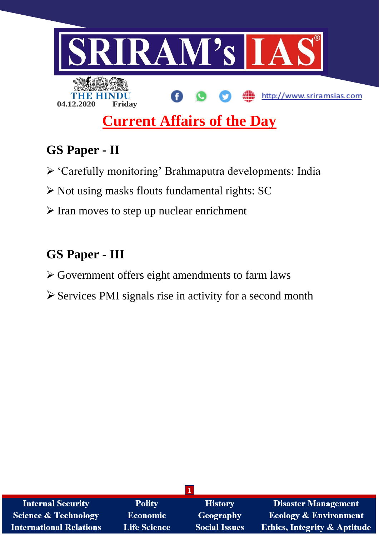

# **GS Paper - II**

- 'Carefully monitoring' Brahmaputra developments: India
- $\triangleright$  Not using masks flouts fundamental rights: SC
- $\triangleright$  Iran moves to step up nuclear enrichment

# **GS Paper - III**

- Government offers eight amendments to farm laws
- Services PMI signals rise in activity for a second month

| <b>Internal Security</b>        | <b>Polity</b>       | <b>History</b>       | <b>Disaster Management</b>              |
|---------------------------------|---------------------|----------------------|-----------------------------------------|
| <b>Science &amp; Technology</b> | <b>Economic</b>     | Geography            | <b>Ecology &amp; Environment</b>        |
| <b>International Relations</b>  | <b>Life Science</b> | <b>Social Issues</b> | <b>Ethics, Integrity &amp; Aptitude</b> |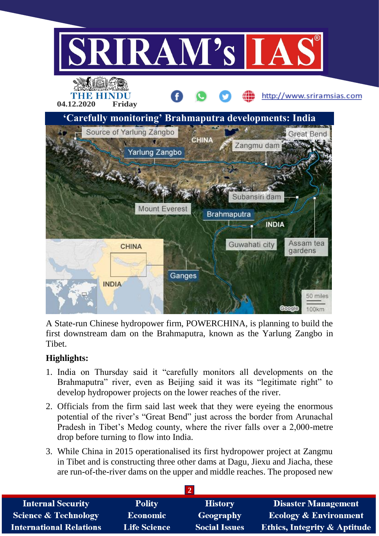

A State-run Chinese hydropower firm, POWERCHINA, is planning to build the first downstream dam on the Brahmaputra, known as the Yarlung Zangbo in Tibet.

# **Highlights:**

- 1. India on Thursday said it "carefully monitors all developments on the Brahmaputra" river, even as Beijing said it was its "legitimate right" to develop hydropower projects on the lower reaches of the river.
- 2. Officials from the firm said last week that they were eyeing the enormous potential of the river's "Great Bend" just across the border from Arunachal Pradesh in Tibet's Medog county, where the river falls over a 2,000-metre drop before turning to flow into India.
- 3. While China in 2015 operationalised its first hydropower project at Zangmu in Tibet and is constructing three other dams at Dagu, Jiexu and Jiacha, these are run-of-the-river dams on the upper and middle reaches. The proposed new

| <b>Internal Security</b>        | <b>Polity</b>       | <b>History</b>       | <b>Disaster Management</b>              |
|---------------------------------|---------------------|----------------------|-----------------------------------------|
| <b>Science &amp; Technology</b> | <b>Economic</b>     | Geography            | <b>Ecology &amp; Environment</b>        |
| <b>International Relations</b>  | <b>Life Science</b> | <b>Social Issues</b> | <b>Ethics, Integrity &amp; Aptitude</b> |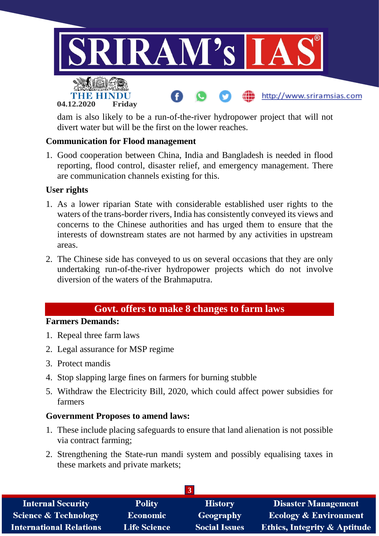

dam is also likely to be a run-of-the-river hydropower project that will not divert water but will be the first on the lower reaches.

## **Communication for Flood management**

1. Good cooperation between China, India and Bangladesh is needed in flood reporting, flood control, disaster relief, and emergency management. There are communication channels existing for this.

#### **User rights**

- 1. As a lower riparian State with considerable established user rights to the waters of the trans-border rivers, India has consistently conveyed its views and concerns to the Chinese authorities and has urged them to ensure that the interests of downstream states are not harmed by any activities in upstream areas.
- 2. The Chinese side has conveyed to us on several occasions that they are only undertaking run-of-the-river hydropower projects which do not involve diversion of the waters of the Brahmaputra.

# **Govt. offers to make 8 changes to farm laws**

#### **Farmers Demands:**

- 1. Repeal three farm laws
- 2. Legal assurance for MSP regime
- 3. Protect mandis
- 4. Stop slapping large fines on farmers for burning stubble
- 5. Withdraw the Electricity Bill, 2020, which could affect power subsidies for farmers

#### **Government Proposes to amend laws:**

- 1. These include placing safeguards to ensure that land alienation is not possible via contract farming;
- 2. Strengthening the State-run mandi system and possibly equalising taxes in these markets and private markets;

| <b>Internal Security</b>        | <b>Polity</b>       | <b>History</b>       | <b>Disaster Management</b>              |
|---------------------------------|---------------------|----------------------|-----------------------------------------|
| <b>Science &amp; Technology</b> | <b>Economic</b>     | Geography            | <b>Ecology &amp; Environment</b>        |
| <b>International Relations</b>  | <b>Life Science</b> | <b>Social Issues</b> | <b>Ethics, Integrity &amp; Aptitude</b> |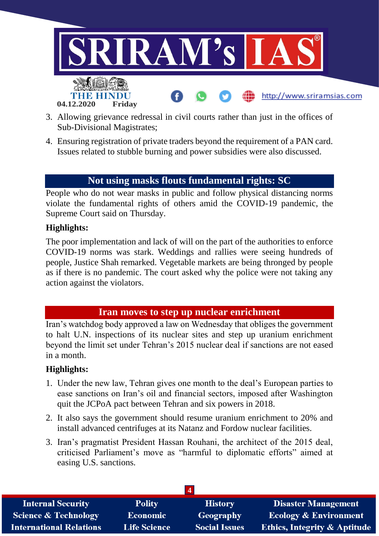

- 3. Allowing grievance redressal in civil courts rather than just in the offices of Sub-Divisional Magistrates;
- 4. Ensuring registration of private traders beyond the requirement of a PAN card. Issues related to stubble burning and power subsidies were also discussed.

# **Not using masks flouts fundamental rights: SC**

People who do not wear masks in public and follow physical distancing norms violate the fundamental rights of others amid the COVID-19 pandemic, the Supreme Court said on Thursday.

## **Highlights:**

The poor implementation and lack of will on the part of the authorities to enforce COVID-19 norms was stark. Weddings and rallies were seeing hundreds of people, Justice Shah remarked. Vegetable markets are being thronged by people as if there is no pandemic. The court asked why the police were not taking any action against the violators.

# **Iran moves to step up nuclear enrichment**

Iran's watchdog body approved a law on Wednesday that obliges the government to halt U.N. inspections of its nuclear sites and step up uranium enrichment beyond the limit set under Tehran's 2015 nuclear deal if sanctions are not eased in a month.

#### **Highlights:**

- 1. Under the new law, Tehran gives one month to the deal's European parties to ease sanctions on Iran's oil and financial sectors, imposed after Washington quit the JCPoA pact between Tehran and six powers in 2018.
- 2. It also says the government should resume uranium enrichment to 20% and install advanced centrifuges at its Natanz and Fordow nuclear facilities.
- 3. Iran's pragmatist President Hassan Rouhani, the architect of the 2015 deal, criticised Parliament's move as "harmful to diplomatic efforts" aimed at easing U.S. sanctions.

| <b>Internal Security</b>        | <b>Polity</b>       | <b>History</b>       | <b>Disaster Management</b>              |
|---------------------------------|---------------------|----------------------|-----------------------------------------|
| <b>Science &amp; Technology</b> | <b>Economic</b>     | Geography            | <b>Ecology &amp; Environment</b>        |
| <b>International Relations</b>  | <b>Life Science</b> | <b>Social Issues</b> | <b>Ethics, Integrity &amp; Aptitude</b> |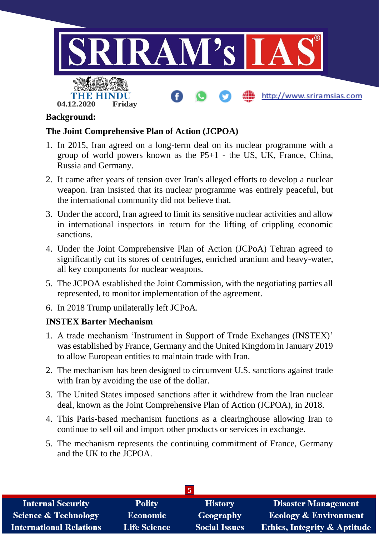

# **Background:**

#### **The Joint Comprehensive Plan of Action (JCPOA)**

- 1. In 2015, Iran agreed on a long-term deal on its nuclear programme with a group of world powers known as the P5+1 - the US, UK, France, China, Russia and Germany.
- 2. It came after years of tension over Iran's alleged efforts to develop a nuclear weapon. Iran insisted that its nuclear programme was entirely peaceful, but the international community did not believe that.
- 3. Under the accord, Iran agreed to limit its sensitive nuclear activities and allow in international inspectors in return for the lifting of crippling economic sanctions.
- 4. Under the Joint Comprehensive Plan of Action (JCPoA) Tehran agreed to significantly cut its stores of centrifuges, enriched uranium and heavy-water, all key components for nuclear weapons.
- 5. The JCPOA established the Joint Commission, with the negotiating parties all represented, to monitor implementation of the agreement.
- 6. In 2018 Trump unilaterally left JCPoA.

#### **INSTEX Barter Mechanism**

- 1. A trade mechanism 'Instrument in Support of Trade Exchanges (INSTEX)' was established by France, Germany and the United Kingdom in January 2019 to allow European entities to maintain trade with Iran.
- 2. The mechanism has been designed to circumvent U.S. sanctions against trade with Iran by avoiding the use of the dollar.
- 3. The United States imposed sanctions after it withdrew from the Iran nuclear deal, known as the Joint Comprehensive Plan of Action (JCPOA), in 2018.
- 4. This Paris-based mechanism functions as a clearinghouse allowing Iran to continue to sell oil and import other products or services in exchange.
- 5. The mechanism represents the continuing commitment of France, Germany and the UK to the JCPOA.

| <b>Internal Security</b>        | <b>Polity</b>       | <b>History</b>       | <b>Disaster Management</b>              |
|---------------------------------|---------------------|----------------------|-----------------------------------------|
| <b>Science &amp; Technology</b> | <b>Economic</b>     | Geography            | <b>Ecology &amp; Environment</b>        |
| <b>International Relations</b>  | <b>Life Science</b> | <b>Social Issues</b> | <b>Ethics, Integrity &amp; Aptitude</b> |